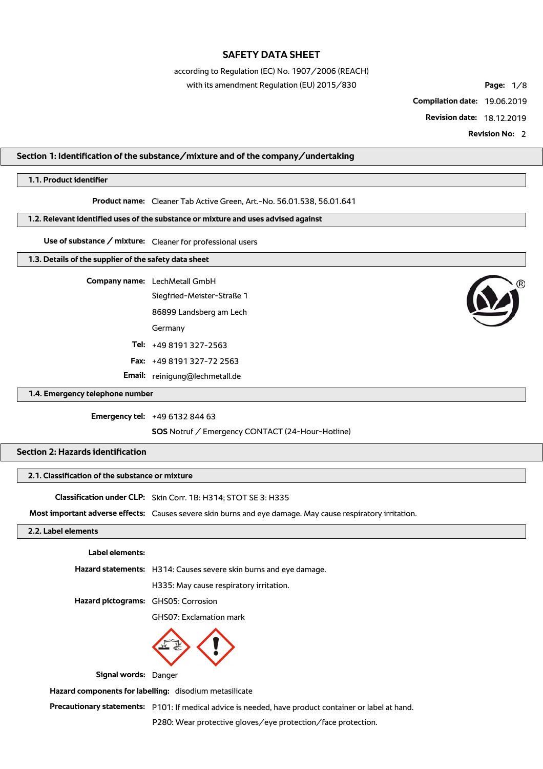according to Regulation (EC) No. 1907/2006 (REACH)

with its amendment Regulation (EU) 2015/830 **Page:** 1/8

**Compilation date:** 19.06.2019

**Revision date:** 18.12.2019

**Revision No:** 2

### **Section 1: Identification of the substance/mixture and of the company/undertaking**

### **1.1. Product identifier**

**Product name:** Cleaner Tab Active Green, Art.-No. 56.01.538, 56.01.641

**1.2. Relevant identified uses of the substance or mixture and uses advised against**

**Use of substance / mixture:** Cleaner for professional users

#### **1.3. Details of the supplier of the safety data sheet**

**Company name:** LechMetall GmbH Siegfried-Meister-Straße 1 86899 Landsberg am Lech Germany **Tel:** +49 8191 327-2563 **Fax:** +49 8191 327-72 2563 **Email:** reinigung@lechmetall.de



#### **1.4. Emergency telephone number**

**Emergency tel:** +49 6132 844 63

**SOS** Notruf / Emergency CONTACT (24-Hour-Hotline)

### **Section 2: Hazards identification**

### **2.1. Classification of the substance or mixture**

**Classification under CLP:** Skin Corr. 1B: H314; STOT SE 3: H335

**Most important adverse effects:** Causes severe skin burns and eye damage. May cause respiratory irritation.

### **2.2. Label elements**

#### **Label elements:**

**Hazard statements:** H314: Causes severe skin burns and eye damage.

H335: May cause respiratory irritation.

**Hazard pictograms:** GHS05: Corrosion

GHS07: Exclamation mark



**Signal words:** Danger

**Hazard components for labelling:** disodium metasilicate

**Precautionary statements:** P101: If medical advice is needed, have product container or label at hand.

P280: Wear protective gloves/eye protection/face protection.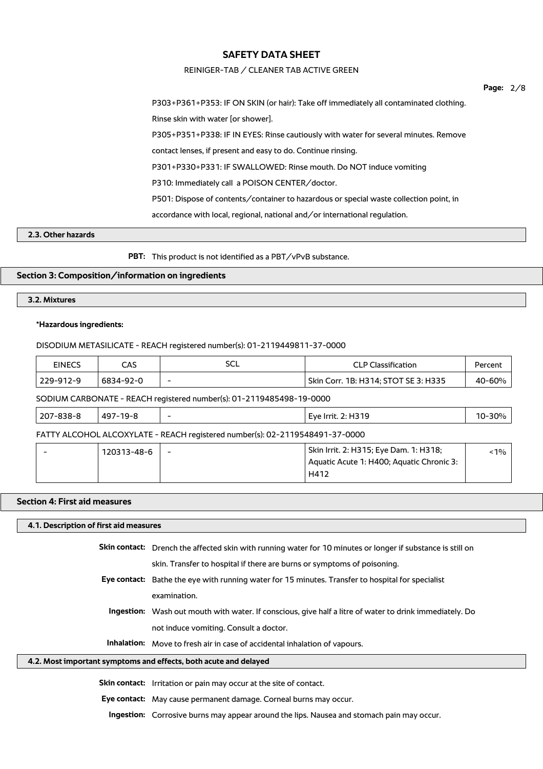#### REINIGER-TAB / CLEANER TAB ACTIVE GREEN

|                                                                                        | Page: | 2/8 |
|----------------------------------------------------------------------------------------|-------|-----|
| P303+P361+P353: IF ON SKIN (or hair): Take off immediately all contaminated clothing.  |       |     |
| Rinse skin with water [or shower].                                                     |       |     |
| P305+P351+P338: IF IN EYES: Rinse cautiously with water for several minutes. Remove    |       |     |
| contact lenses, if present and easy to do. Continue rinsing.                           |       |     |
| P301+P330+P331: IF SWALLOWED: Rinse mouth. Do NOT induce vomiting                      |       |     |
| P310: Immediately call a POISON CENTER/doctor.                                         |       |     |
| P501: Dispose of contents/container to hazardous or special waste collection point, in |       |     |
| $accordance$ with local, regional, national and $\sigma$ international regulation.     |       |     |
|                                                                                        |       |     |
|                                                                                        |       |     |

**PBT:** This product is not identified as a PBT/vPvB substance.

## **Section 3: Composition/information on ingredients**

### **3.2. Mixtures**

**2.3. Other hazards**

#### **\*Hazardous ingredients:**

DISODIUM METASILICATE - REACH registered number(s): 01-2119449811-37-0000

| <b>EINECS</b> | CAS       | ว∪∟ | <b>CLP Classification</b>            | Percent |
|---------------|-----------|-----|--------------------------------------|---------|
| 229-912-9     | 6834-92-0 | -   | Skin Corr. 1B: H314; STOT SE 3: H335 | 40-60%  |
|               |           |     |                                      |         |

SODIUM CARBONATE - REACH registered number(s): 01-2119485498-19-0000

| $ 207 - 838 - 8$ | 497-19-8 |  | <sup>'</sup> Eve Irrit. 2: H319 | $10 - 30%$ |
|------------------|----------|--|---------------------------------|------------|
|------------------|----------|--|---------------------------------|------------|

FATTY ALCOHOL ALCOXYLATE - REACH registered number(s): 02-2119548491-37-0000

| 120313-48-6 | $\overline{\phantom{0}}$ | ' Skin Irrit. 2: H315; Eye Dam. 1: H318;<br>Aquatic Acute 1: H400; Aquatic Chronic 3: | $< 1\%$ |
|-------------|--------------------------|---------------------------------------------------------------------------------------|---------|
|             |                          | H412                                                                                  |         |

#### **Section 4: First aid measures**

**4.1. Description of first aid measures**

| Skin contact: Drench the affected skin with running water for 10 minutes or longer if substance is still on |
|-------------------------------------------------------------------------------------------------------------|
| skin. Transfer to hospital if there are burns or symptoms of poisoning.                                     |

- **Eye contact:** Bathe the eye with running water for 15 minutes. Transfer to hospital for specialist examination.
	- **Ingestion:** Wash out mouth with water. If conscious, give half a litre of water to drink immediately. Do not induce vomiting. Consult a doctor.

**Inhalation:** Move to fresh air in case of accidental inhalation of vapours.

#### **4.2. Most important symptoms and effects, both acute and delayed**

**Skin contact:** Irritation or pain may occur at the site of contact.

**Eye contact:** May cause permanent damage. Corneal burns may occur.

**Ingestion:** Corrosive burns may appear around the lips. Nausea and stomach pain may occur.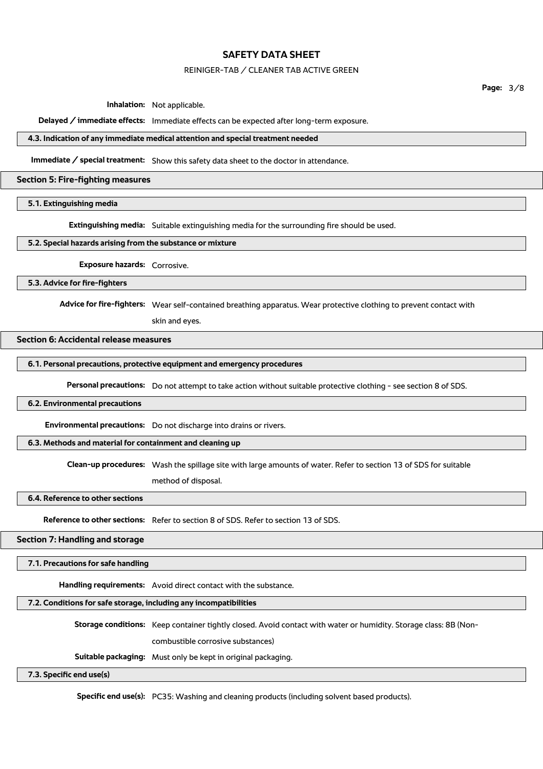#### REINIGER-TAB / CLEANER TAB ACTIVE GREEN

**Page:** 3/8

**Inhalation:** Not applicable.

**Delayed / immediate effects:** Immediate effects can be expected after long-term exposure.

#### **4.3. Indication of any immediate medical attention and special treatment needed**

**Immediate / special treatment:** Show this safety data sheet to the doctor in attendance.

### **Section 5: Fire-fighting measures**

### **5.1. Extinguishing media**

**Extinguishing media:** Suitable extinguishing media for the surrounding fire should be used.

#### **5.2. Special hazards arising from the substance or mixture**

**Exposure hazards:** Corrosive.

**5.3. Advice for fire-fighters**

**Advice for fire-fighters:** Wear self-contained breathing apparatus. Wear protective clothing to prevent contact with

skin and eyes.

### **Section 6: Accidental release measures**

**6.1. Personal precautions, protective equipment and emergency procedures**

**Personal precautions:** Do not attempt to take action without suitable protective clothing - see section 8 of SDS.

#### **6.2. Environmental precautions**

**Environmental precautions:** Do not discharge into drains or rivers.

#### **6.3. Methods and material for containment and cleaning up**

**Clean-up procedures:** Wash the spillage site with large amounts of water. Refer to section 13 of SDS for suitable

method of disposal.

**6.4. Reference to other sections**

**Reference to other sections:** Refer to section 8 of SDS. Refer to section 13 of SDS.

### **Section 7: Handling and storage**

**7.1. Precautions for safe handling**

**Handling requirements:** Avoid direct contact with the substance.

## **7.2. Conditions for safe storage, including any incompatibilities**

**Storage conditions:** Keep container tightly closed. Avoid contact with water or humidity. Storage class: 8B (Non-

combustible corrosive substances)

**Suitable packaging:** Must only be kept in original packaging.

### **7.3. Specific end use(s)**

**Specific end use(s):** PC35: Washing and cleaning products (including solvent based products).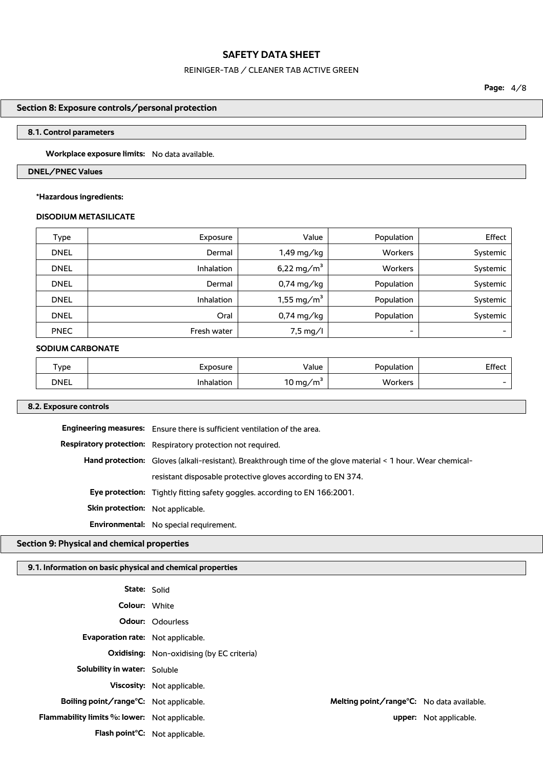# REINIGER-TAB / CLEANER TAB ACTIVE GREEN

## **Section 8: Exposure controls/personal protection**

### **8.1. Control parameters**

**Workplace exposure limits:** No data available.

### **DNEL/PNEC Values**

### **\*Hazardous ingredients:**

### **DISODIUM METASILICATE**

| Type        | Exposure    | Value                  | Population               | Effect   |
|-------------|-------------|------------------------|--------------------------|----------|
| <b>DNEL</b> | Dermal      | 1,49 mg/kg             | <b>Workers</b>           | Systemic |
| <b>DNEL</b> | Inhalation  | 6,22 mg/m <sup>3</sup> | Workers                  | Systemic |
| <b>DNEL</b> | Dermal      | $0,74 \text{ mg/kg}$   | Population               | Systemic |
| <b>DNEL</b> | Inhalation  | 1,55 mg/m <sup>3</sup> | Population               | Systemic |
| <b>DNEL</b> | Oral        | 0,74 mg/kg             | Population               | Systemic |
| <b>PNEC</b> | Fresh water | $7,5 \text{ mg/l}$     | $\overline{\phantom{0}}$ |          |

#### **SODIUM CARBONATE**

| 'ype        | :xbosure   | Value    | Population | Effect |
|-------------|------------|----------|------------|--------|
| <b>DNEL</b> | 'nhalation | 10 mg/m` | Workers    | $\sim$ |

## **8.2. Exposure controls**

|                                  | <b>Engineering measures:</b> Ensure there is sufficient ventilation of the area.                             |
|----------------------------------|--------------------------------------------------------------------------------------------------------------|
|                                  | Respiratory protection: Respiratory protection not required.                                                 |
|                                  | Hand protection: Gloves (alkali-resistant). Breakthrough time of the glove material < 1 hour. Wear chemical- |
|                                  | resistant disposable protective gloves according to EN 374.                                                  |
|                                  | <b>Eye protection:</b> Tightly fitting safety goggles. according to EN 166:2001.                             |
| Skin protection: Not applicable. |                                                                                                              |
|                                  | Environmental: No special requirement.                                                                       |

## **Section 9: Physical and chemical properties**

## **9.1. Information on basic physical and chemical properties**

| <b>State: Solid</b>                           |                                                  |                        |
|-----------------------------------------------|--------------------------------------------------|------------------------|
| <b>Colour: White</b>                          |                                                  |                        |
|                                               | Odour: Odourless                                 |                        |
| Evaporation rate: Not applicable.             |                                                  |                        |
|                                               | <b>Oxidising:</b> Non-oxidising (by EC criteria) |                        |
| <b>Solubility in water:</b> Soluble           |                                                  |                        |
|                                               | <b>Viscosity:</b> Not applicable.                |                        |
| Boiling point/range°C: Not applicable.        | Melting point/range°C: No data available.        |                        |
| Flammability limits %: lower: Not applicable. |                                                  | upper: Not applicable. |
|                                               | Flash point°C: Not applicable.                   |                        |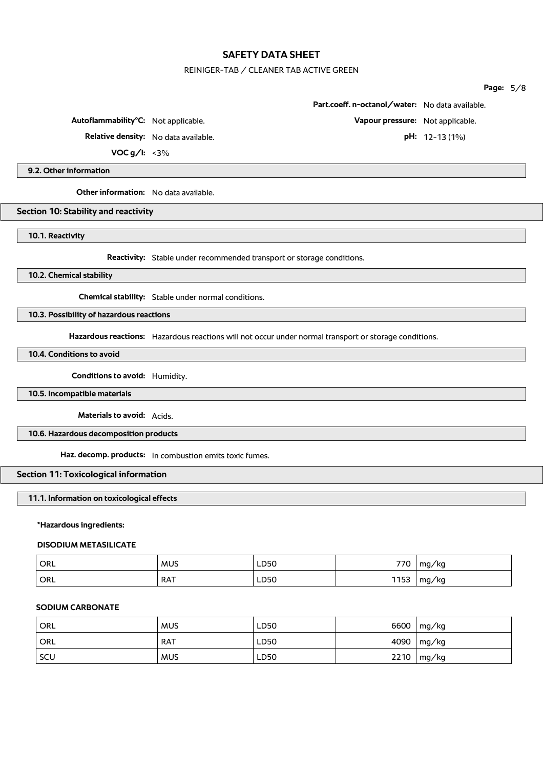## REINIGER-TAB / CLEANER TAB ACTIVE GREEN

|                                                                                                       |                                                 | Page: $5/8$    |  |
|-------------------------------------------------------------------------------------------------------|-------------------------------------------------|----------------|--|
|                                                                                                       | Part.coeff. n-octanol/water: No data available. |                |  |
| Autoflammability°C: Not applicable.                                                                   | Vapour pressure: Not applicable.                |                |  |
| Relative density: No data available.                                                                  |                                                 | pH: 12-13 (1%) |  |
| VOC $g/I: < 3\%$                                                                                      |                                                 |                |  |
| 9.2. Other information                                                                                |                                                 |                |  |
| Other information: No data available.                                                                 |                                                 |                |  |
| Section 10: Stability and reactivity                                                                  |                                                 |                |  |
| 10.1. Reactivity                                                                                      |                                                 |                |  |
| Reactivity: Stable under recommended transport or storage conditions.                                 |                                                 |                |  |
| 10.2. Chemical stability                                                                              |                                                 |                |  |
| Chemical stability: Stable under normal conditions.                                                   |                                                 |                |  |
| 10.3. Possibility of hazardous reactions                                                              |                                                 |                |  |
| Hazardous reactions: Hazardous reactions will not occur under normal transport or storage conditions. |                                                 |                |  |
| 10.4. Conditions to avoid                                                                             |                                                 |                |  |
| Conditions to avoid: Humidity.                                                                        |                                                 |                |  |
| 10.5. Incompatible materials                                                                          |                                                 |                |  |
| Materials to avoid: Acids.                                                                            |                                                 |                |  |
| 10.6. Hazardous decomposition products                                                                |                                                 |                |  |
| Haz. decomp. products: In combustion emits toxic fumes.                                               |                                                 |                |  |
|                                                                                                       |                                                 |                |  |

# **11.1. Information on toxicological effects**

### **\*Hazardous ingredients:**

# **DISODIUM METASILICATE**

| ORL <sup>.</sup> | <b>MUS</b> | LD50 | 770  | mg/kg |
|------------------|------------|------|------|-------|
| ORL              | <b>RAT</b> | LD50 | 1153 | mg/kg |

## **SODIUM CARBONATE**

| ORL | <b>MUS</b> | LD50 | 6600 | mg/kg           |
|-----|------------|------|------|-----------------|
| ORL | <b>RAT</b> | LD50 | 4090 | $\lfloor$ mg/kg |
| SCU | <b>MUS</b> | LD50 | 2210 | mg/kg           |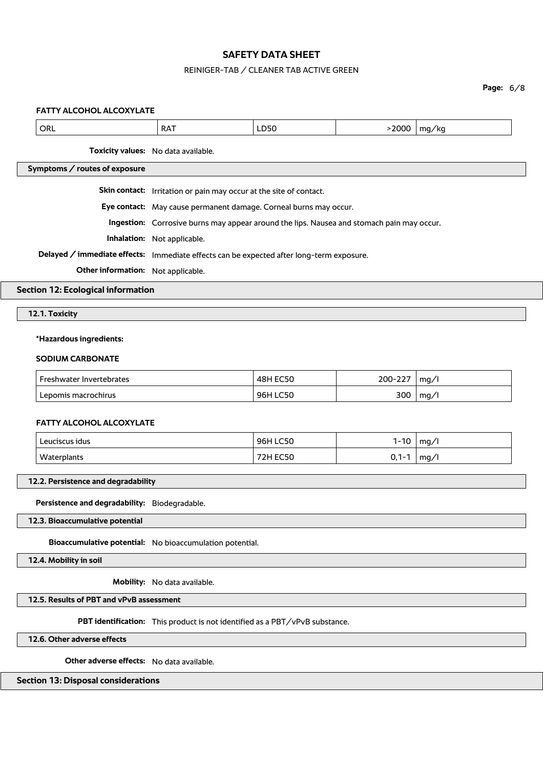## REINIGER-TAB / CLEANER TAB ACTIVE GREEN

## **Page:** 6/8

## **FATTY ALCOHOL ALCOXYLATE**

|                                                                             | ORL                                                                                       | <b>RAT</b>                                                                               | LD50            | $>2000$    | mg/kg |  |  |
|-----------------------------------------------------------------------------|-------------------------------------------------------------------------------------------|------------------------------------------------------------------------------------------|-----------------|------------|-------|--|--|
|                                                                             |                                                                                           | Toxicity values: No data available.                                                      |                 |            |       |  |  |
|                                                                             | Symptoms / routes of exposure                                                             |                                                                                          |                 |            |       |  |  |
|                                                                             |                                                                                           | Skin contact: Irritation or pain may occur at the site of contact.                       |                 |            |       |  |  |
|                                                                             |                                                                                           | Eye contact: May cause permanent damage. Corneal burns may occur.                        |                 |            |       |  |  |
|                                                                             | Ingestion: Corrosive burns may appear around the lips. Nausea and stomach pain may occur. |                                                                                          |                 |            |       |  |  |
|                                                                             |                                                                                           | Inhalation: Not applicable.                                                              |                 |            |       |  |  |
|                                                                             |                                                                                           | Delayed / immediate effects: Immediate effects can be expected after long-term exposure. |                 |            |       |  |  |
|                                                                             | Other information: Not applicable.                                                        |                                                                                          |                 |            |       |  |  |
| <b>Section 12: Ecological information</b>                                   |                                                                                           |                                                                                          |                 |            |       |  |  |
| 12.1. Toxicity                                                              |                                                                                           |                                                                                          |                 |            |       |  |  |
| *Hazardous ingredients:                                                     |                                                                                           |                                                                                          |                 |            |       |  |  |
|                                                                             | <b>SODIUM CARBONATE</b>                                                                   |                                                                                          |                 |            |       |  |  |
|                                                                             | Freshwater Invertebrates                                                                  |                                                                                          | <b>48H EC50</b> | 200-227    | mg/l  |  |  |
|                                                                             | Lepomis macrochirus                                                                       |                                                                                          | 96H LC50        | 300        | mg/l  |  |  |
|                                                                             |                                                                                           |                                                                                          |                 |            |       |  |  |
|                                                                             | FATTY ALCOHOL ALCOXYLATE                                                                  |                                                                                          |                 |            |       |  |  |
|                                                                             | Leuciscus idus                                                                            |                                                                                          | 96H LC50        | $1 - 10$   | mg/l  |  |  |
|                                                                             | Waterplants                                                                               |                                                                                          | <b>72H EC50</b> | $0, 1 - 1$ | mg/l  |  |  |
|                                                                             | 12.2. Persistence and degradability                                                       |                                                                                          |                 |            |       |  |  |
|                                                                             |                                                                                           |                                                                                          |                 |            |       |  |  |
| Persistence and degradability: Biodegradable.                               |                                                                                           |                                                                                          |                 |            |       |  |  |
| 12.3. Bioaccumulative potential                                             |                                                                                           |                                                                                          |                 |            |       |  |  |
| Bioaccumulative potential: No bioaccumulation potential.                    |                                                                                           |                                                                                          |                 |            |       |  |  |
| 12.4. Mobility in soil                                                      |                                                                                           |                                                                                          |                 |            |       |  |  |
|                                                                             | Mobility: No data available.                                                              |                                                                                          |                 |            |       |  |  |
|                                                                             | 12.5. Results of PBT and vPvB assessment                                                  |                                                                                          |                 |            |       |  |  |
| PBT identification: This product is not identified as a PBT/vPvB substance. |                                                                                           |                                                                                          |                 |            |       |  |  |

**12.6. Other adverse effects**

**Other adverse effects:** No data available.

**Section 13: Disposal considerations**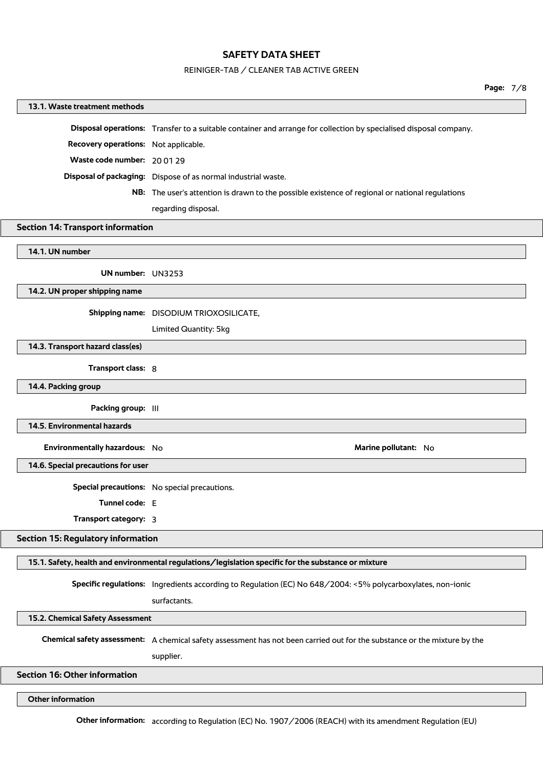#### REINIGER-TAB / CLEANER TAB ACTIVE GREEN

#### **13.1. Waste treatment methods**

|                                             | Disposal operations: Transfer to a suitable container and arrange for collection by specialised disposal company. |
|---------------------------------------------|-------------------------------------------------------------------------------------------------------------------|
| <b>Recovery operations:</b> Not applicable. |                                                                                                                   |
| Waste code number: 200129                   |                                                                                                                   |
|                                             | Disposal of packaging: Dispose of as normal industrial waste.                                                     |
|                                             | <b>NB:</b> The user's attention is drawn to the possible existence of regional or national regulations            |
|                                             | regarding disposal.                                                                                               |

#### **Section 14: Transport information**

**14.1. UN number**

**UN number:** UN3253

**14.2. UN proper shipping name**

**Shipping name:** DISODIUM TRIOXOSILICATE,

Limited Quantity: 5kg

**14.3. Transport hazard class(es)**

**Transport class:** 8

**14.4. Packing group**

**Packing group:**  $|||$ 

**14.5. Environmental hazards**

**Environmentally hazardous:** No **Marine pollutant:** No **Marine pollutant:** No

**14.6. Special precautions for user**

**Special precautions:** No special precautions.

**Tunnel code:** E

**Transport category:** 3

#### **Section 15: Regulatory information**

**15.1. Safety, health and environmental regulations/legislation specific for the substance or mixture**

**Specific regulations:** Ingredients according to Regulation (EC) No 648/2004: <5% polycarboxylates, non-ionic

surfactants.

**15.2. Chemical Safety Assessment**

**Chemical safety assessment:** A chemical safety assessment has not been carried out for the substance or the mixture by the

supplier.

**Section 16: Other information**

**Other information**

**Other information:** according to Regulation (EC) No. 1907/2006 (REACH) with its amendment Regulation (EU)